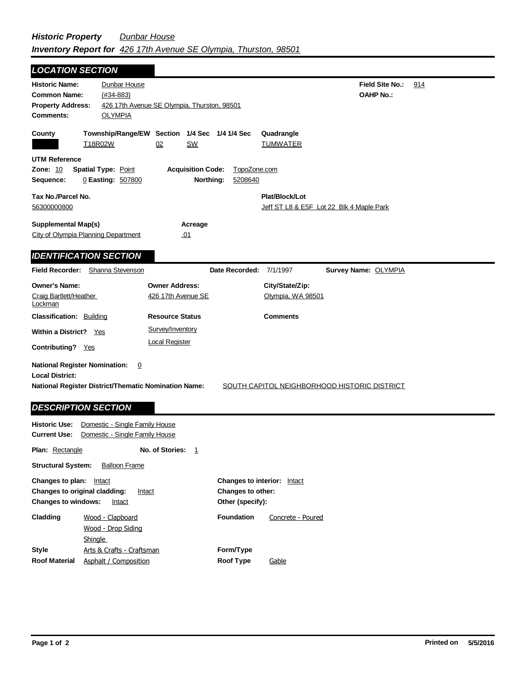| <b>LOCATION SECTION</b>                                                                                                |                                                 |                                                     |                                                            |                                      |                                              |     |
|------------------------------------------------------------------------------------------------------------------------|-------------------------------------------------|-----------------------------------------------------|------------------------------------------------------------|--------------------------------------|----------------------------------------------|-----|
| <b>Historic Name:</b><br><b>Common Name:</b><br><b>Property Address:</b><br><b>Comments:</b>                           | Dunbar House<br>$(H34-883)$<br><b>OLYMPIA</b>   | 426 17th Avenue SE Olympia, Thurston, 98501         |                                                            |                                      | Field Site No.:<br><b>OAHP No.:</b>          | 914 |
| County<br>T18R02W                                                                                                      | 02                                              | Township/Range/EW Section 1/4 Sec 1/4 1/4 Sec<br>SW |                                                            | Quadrangle<br><b>TUMWATER</b>        |                                              |     |
| <b>UTM Reference</b><br><b>Zone: 10</b><br>Sequence:                                                                   | <b>Spatial Type: Point</b><br>0 Easting: 507800 | <b>Acquisition Code:</b><br>Northing:               | TopoZone.com<br>5208640                                    |                                      |                                              |     |
| Tax No./Parcel No.<br>56300000800                                                                                      |                                                 |                                                     | Plat/Block/Lot<br>Jeff ST L8 & E5F Lot 22 Blk 4 Maple Park |                                      |                                              |     |
| <b>Supplemental Map(s)</b><br>City of Olympia Planning Department<br><b>IDENTIFICATION SECTION</b>                     |                                                 | Acreage<br>.01                                      |                                                            |                                      |                                              |     |
| Field Recorder:                                                                                                        | Shanna Stevenson                                |                                                     | Date Recorded: 7/1/1997                                    |                                      | Survey Name: OLYMPIA                         |     |
| <b>Owner's Name:</b><br>Craig Bartlett/Heather<br>Lockman                                                              |                                                 | <b>Owner Address:</b><br>426 17th Avenue SE         |                                                            | City/State/Zip:<br>Olympia, WA 98501 |                                              |     |
| <b>Classification: Building</b>                                                                                        |                                                 | <b>Resource Status</b>                              |                                                            | <b>Comments</b>                      |                                              |     |
| <b>Within a District?</b><br>Yes                                                                                       |                                                 | Survey/Inventory                                    |                                                            |                                      |                                              |     |
| Contributing? Yes                                                                                                      |                                                 | <b>Local Register</b>                               |                                                            |                                      |                                              |     |
| <b>National Register Nomination:</b><br><b>Local District:</b><br>National Register District/Thematic Nomination Name: | 0                                               |                                                     |                                                            |                                      | SOUTH CAPITOL NEIGHBORHOOD HISTORIC DISTRICT |     |
| <b>DESCRIPTION SECTION</b>                                                                                             |                                                 |                                                     |                                                            |                                      |                                              |     |

| <b>Historic Use:</b><br><b>Current Use:</b>                                                                   | Domestic - Single Family House<br>Domestic - Single Family House |                |                                                                                    |                   |
|---------------------------------------------------------------------------------------------------------------|------------------------------------------------------------------|----------------|------------------------------------------------------------------------------------|-------------------|
| <b>Plan:</b> Rectangle                                                                                        | No. of Stories:                                                  | $\overline{1}$ |                                                                                    |                   |
| <b>Structural System:</b><br><b>Balloon Frame</b>                                                             |                                                                  |                |                                                                                    |                   |
| Changes to plan:<br>Intact<br>Changes to original cladding:<br>Intact<br><b>Changes to windows:</b><br>Intact |                                                                  |                | <b>Changes to interior:</b> Intact<br><b>Changes to other:</b><br>Other (specify): |                   |
| Cladding                                                                                                      | Wood - Clapboard<br>Wood - Drop Siding<br>Shingle                |                | <b>Foundation</b>                                                                  | Concrete - Poured |
| <b>Style</b>                                                                                                  | Arts & Crafts - Craftsman                                        |                | Form/Type                                                                          |                   |
| <b>Roof Material</b>                                                                                          | Asphalt / Composition                                            |                | <b>Roof Type</b>                                                                   | Gable             |